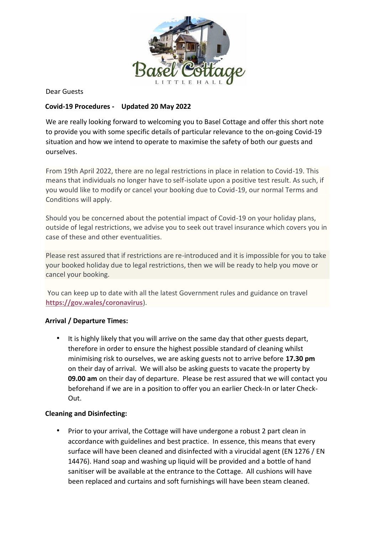

Dear Guests

# **Covid-19 Procedures - Updated 20 May 2022**

We are really looking forward to welcoming you to Basel Cottage and offer this short note to provide you with some specific details of particular relevance to the on-going Covid-19 situation and how we intend to operate to maximise the safety of both our guests and ourselves.

From 19th April 2022, there are no legal restrictions in place in relation to Covid-19. This means that individuals no longer have to self-isolate upon a positive test result. As such, if you would like to modify or cancel your booking due to Covid-19, our normal Terms and Conditions will apply.

Should you be concerned about the potential impact of Covid-19 on your holiday plans, outside of legal restrictions, we advise you to seek out travel insurance which covers you in case of these and other eventualities.

Please rest assured that if restrictions are re-introduced and it is impossible for you to take your booked holiday due to legal restrictions, then we will be ready to help you move or cancel your booking.

You can keep up to date with all the latest Government rules and guidance on travel **<https://gov.wales/coronavirus>**).

## **Arrival / Departure Times:**

It is highly likely that you will arrive on the same day that other guests depart, therefore in order to ensure the highest possible standard of cleaning whilst minimising risk to ourselves, we are asking guests not to arrive before **17.30 pm** on their day of arrival. We will also be asking guests to vacate the property by **09.00 am** on their day of departure. Please be rest assured that we will contact you beforehand if we are in a position to offer you an earlier Check-In or later Check-Out.

## **Cleaning and Disinfecting:**

• Prior to your arrival, the Cottage will have undergone a robust 2 part clean in accordance with guidelines and best practice. In essence, this means that every surface will have been cleaned and disinfected with a virucidal agent (EN 1276 / EN 14476). Hand soap and washing up liquid will be provided and a bottle of hand sanitiser will be available at the entrance to the Cottage. All cushions will have been replaced and curtains and soft furnishings will have been steam cleaned.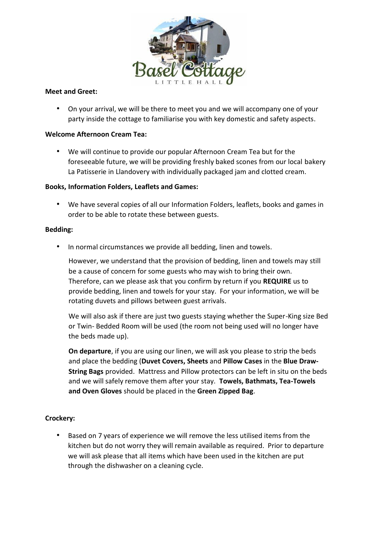

### **Meet and Greet:**

• On your arrival, we will be there to meet you and we will accompany one of your party inside the cottage to familiarise you with key domestic and safety aspects.

### **Welcome Afternoon Cream Tea:**

• We will continue to provide our popular Afternoon Cream Tea but for the foreseeable future, we will be providing freshly baked scones from our local bakery La Patisserie in Llandovery with individually packaged jam and clotted cream.

## **Books, Information Folders, Leaflets and Games:**

• We have several copies of all our Information Folders, leaflets, books and games in order to be able to rotate these between guests.

#### **Bedding:**

• In normal circumstances we provide all bedding, linen and towels.

However, we understand that the provision of bedding, linen and towels may still be a cause of concern for some guests who may wish to bring their own. Therefore, can we please ask that you confirm by return if you **REQUIRE** us to provide bedding, linen and towels for your stay. For your information, we will be rotating duvets and pillows between guest arrivals.

We will also ask if there are just two guests staying whether the Super-King size Bed or Twin- Bedded Room will be used (the room not being used will no longer have the beds made up).

**On departure**, if you are using our linen, we will ask you please to strip the beds and place the bedding (**Duvet Covers, Sheets** and **Pillow Cases** in the **Blue Draw-String Bags** provided. Mattress and Pillow protectors can be left in situ on the beds and we will safely remove them after your stay. **Towels, Bathmats, Tea-Towels and Oven Gloves** should be placed in the **Green Zipped Bag**.

## **Crockery:**

• Based on 7 years of experience we will remove the less utilised items from the kitchen but do not worry they will remain available as required. Prior to departure we will ask please that all items which have been used in the kitchen are put through the dishwasher on a cleaning cycle.